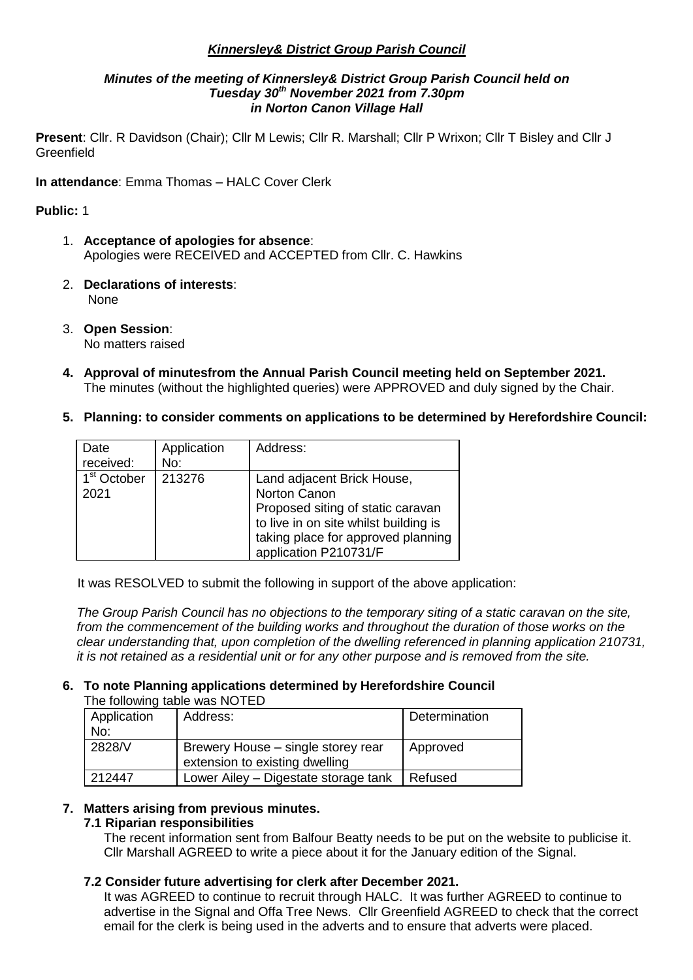## *Kinnersley& District Group Parish Council*

#### *Minutes of the meeting of Kinnersley& District Group Parish Council held on Tuesday 30th November 2021 from 7.30pm in Norton Canon Village Hall*

**Present**: Cllr. R Davidson (Chair); Cllr M Lewis; Cllr R. Marshall; Cllr P Wrixon; Cllr T Bisley and Cllr J **Greenfield** 

**In attendance**: Emma Thomas – HALC Cover Clerk

## **Public:** 1

- 1. **Acceptance of apologies for absence**: Apologies were RECEIVED and ACCEPTED from Cllr. C. Hawkins
- 2. **Declarations of interests**: None
- 3. **Open Session**: No matters raised
- **4. Approval of minutesfrom the Annual Parish Council meeting held on September 2021.** The minutes (without the highlighted queries) were APPROVED and duly signed by the Chair.
- **5. Planning: to consider comments on applications to be determined by Herefordshire Council:**

| Date<br>received:               | Application<br>No: | Address:                                                                                                                                                                                |
|---------------------------------|--------------------|-----------------------------------------------------------------------------------------------------------------------------------------------------------------------------------------|
| 1 <sup>st</sup> October<br>2021 | 213276             | Land adjacent Brick House,<br>Norton Canon<br>Proposed siting of static caravan<br>to live in on site whilst building is<br>taking place for approved planning<br>application P210731/F |

It was RESOLVED to submit the following in support of the above application:

*The Group Parish Council has no objections to the temporary siting of a static caravan on the site, from the commencement of the building works and throughout the duration of those works on the clear understanding that, upon completion of the dwelling referenced in planning application 210731, it is not retained as a residential unit or for any other purpose and is removed from the site.*

#### **6. To note Planning applications determined by Herefordshire Council** The following table was NOTED

| <b>THO TOROWING ROOD WAS TROTLED</b> |                                                                      |               |  |  |
|--------------------------------------|----------------------------------------------------------------------|---------------|--|--|
| Application<br>No:                   | Address:                                                             | Determination |  |  |
| 2828/V                               | Brewery House – single storey rear<br>extension to existing dwelling | Approved      |  |  |
| 212447                               | Lower Ailey - Digestate storage tank                                 | Refused       |  |  |

### **7. Matters arising from previous minutes.**

### **7.1 Riparian responsibilities**

The recent information sent from Balfour Beatty needs to be put on the website to publicise it. Cllr Marshall AGREED to write a piece about it for the January edition of the Signal.

## **7.2 Consider future advertising for clerk after December 2021.**

It was AGREED to continue to recruit through HALC. It was further AGREED to continue to advertise in the Signal and Offa Tree News. Cllr Greenfield AGREED to check that the correct email for the clerk is being used in the adverts and to ensure that adverts were placed.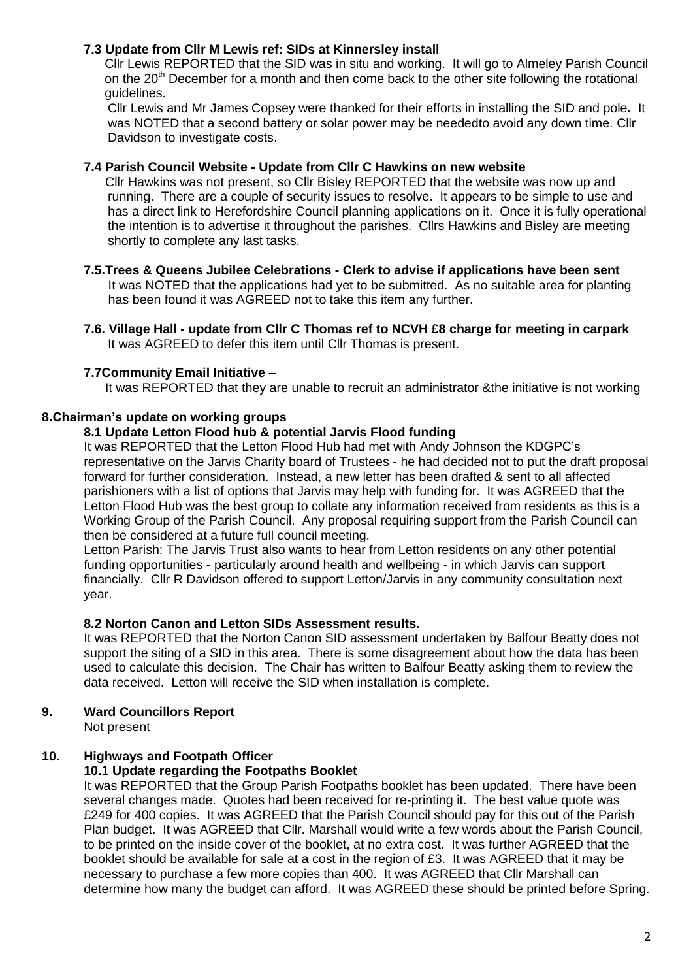## **7.3 Update from Cllr M Lewis ref: SIDs at Kinnersley install**

Cllr Lewis REPORTED that the SID was in situ and working. It will go to Almeley Parish Council on the  $20<sup>th</sup>$  December for a month and then come back to the other site following the rotational guidelines.

Cllr Lewis and Mr James Copsey were thanked for their efforts in installing the SID and pole**.** It was NOTED that a second battery or solar power may be neededto avoid any down time. Cllr Davidson to investigate costs.

### **7.4 Parish Council Website - Update from Cllr C Hawkins on new website**

 Cllr Hawkins was not present, so Cllr Bisley REPORTED that the website was now up and running. There are a couple of security issues to resolve. It appears to be simple to use and has a direct link to Herefordshire Council planning applications on it. Once it is fully operational the intention is to advertise it throughout the parishes. Cllrs Hawkins and Bisley are meeting shortly to complete any last tasks.

- **7.5.Trees & Queens Jubilee Celebrations - Clerk to advise if applications have been sent** It was NOTED that the applications had yet to be submitted. As no suitable area for planting has been found it was AGREED not to take this item any further.
- **7.6. Village Hall - update from Cllr C Thomas ref to NCVH £8 charge for meeting in carpark** It was AGREED to defer this item until Cllr Thomas is present.

### **7.7Community Email Initiative –**

It was REPORTED that they are unable to recruit an administrator &the initiative is not working

#### **8.Chairman's update on working groups**

#### **8.1 Update Letton Flood hub & potential Jarvis Flood funding**

It was REPORTED that the Letton Flood Hub had met with Andy Johnson the KDGPC's representative on the Jarvis Charity board of Trustees - he had decided not to put the draft proposal forward for further consideration. Instead, a new letter has been drafted & sent to all affected parishioners with a list of options that Jarvis may help with funding for. It was AGREED that the Letton Flood Hub was the best group to collate any information received from residents as this is a Working Group of the Parish Council. Any proposal requiring support from the Parish Council can then be considered at a future full council meeting.

Letton Parish: The Jarvis Trust also wants to hear from Letton residents on any other potential funding opportunities - particularly around health and wellbeing - in which Jarvis can support financially. Cllr R Davidson offered to support Letton/Jarvis in any community consultation next year.

#### **8.2 Norton Canon and Letton SIDs Assessment results.**

It was REPORTED that the Norton Canon SID assessment undertaken by Balfour Beatty does not support the siting of a SID in this area. There is some disagreement about how the data has been used to calculate this decision. The Chair has written to Balfour Beatty asking them to review the data received. Letton will receive the SID when installation is complete.

### **9. Ward Councillors Report**

Not present

### **10. Highways and Footpath Officer**

### **10.1 Update regarding the Footpaths Booklet**

It was REPORTED that the Group Parish Footpaths booklet has been updated. There have been several changes made. Quotes had been received for re-printing it. The best value quote was £249 for 400 copies. It was AGREED that the Parish Council should pay for this out of the Parish Plan budget. It was AGREED that Cllr. Marshall would write a few words about the Parish Council, to be printed on the inside cover of the booklet, at no extra cost. It was further AGREED that the booklet should be available for sale at a cost in the region of £3. It was AGREED that it may be necessary to purchase a few more copies than 400. It was AGREED that Cllr Marshall can determine how many the budget can afford. It was AGREED these should be printed before Spring.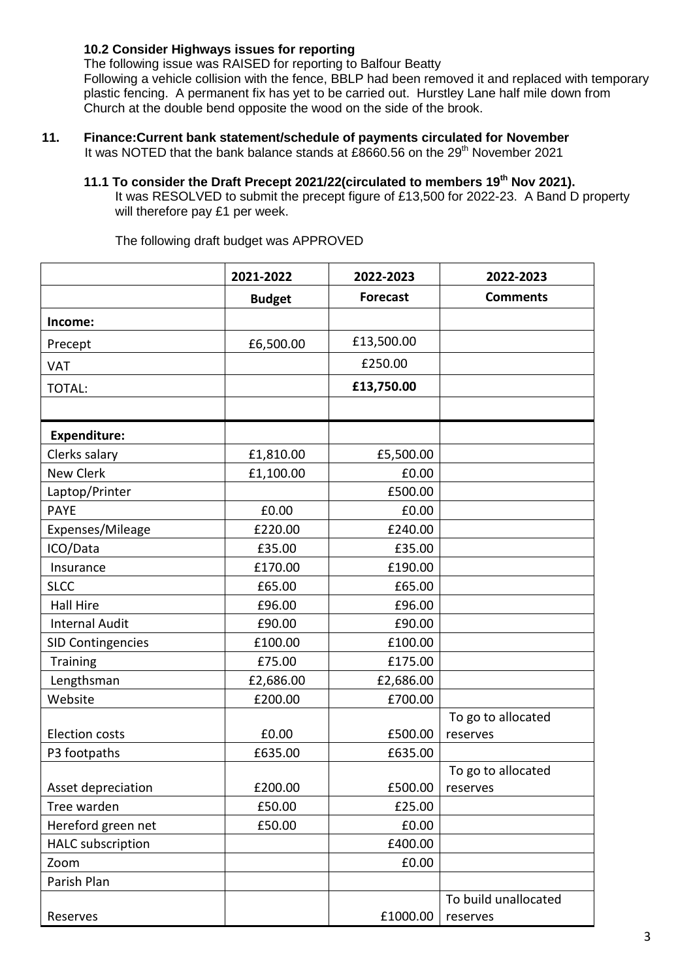## **10.2 Consider Highways issues for reporting**

The following issue was RAISED for reporting to Balfour Beatty

Following a vehicle collision with the fence, BBLP had been removed it and replaced with temporary plastic fencing. A permanent fix has yet to be carried out. Hurstley Lane half mile down from Church at the double bend opposite the wood on the side of the brook.

# **11. Finance:Current bank statement/schedule of payments circulated for November**

It was NOTED that the bank balance stands at £8660.56 on the  $29<sup>th</sup>$  November 2021

**11.1 To consider the Draft Precept 2021/22(circulated to members 19th Nov 2021).**

It was RESOLVED to submit the precept figure of £13,500 for 2022-23. A Band D property will therefore pay £1 per week.

|                          | 2021-2022     | 2022-2023       | 2022-2023            |  |
|--------------------------|---------------|-----------------|----------------------|--|
|                          | <b>Budget</b> | <b>Forecast</b> | <b>Comments</b>      |  |
| Income:                  |               |                 |                      |  |
| Precept                  | £6,500.00     | £13,500.00      |                      |  |
| <b>VAT</b>               |               | £250.00         |                      |  |
| TOTAL:                   |               | £13,750.00      |                      |  |
|                          |               |                 |                      |  |
| <b>Expenditure:</b>      |               |                 |                      |  |
| Clerks salary            | £1,810.00     | £5,500.00       |                      |  |
| New Clerk                | £1,100.00     | £0.00           |                      |  |
| Laptop/Printer           |               | £500.00         |                      |  |
| <b>PAYE</b>              | £0.00         | £0.00           |                      |  |
| Expenses/Mileage         | £220.00       | £240.00         |                      |  |
| ICO/Data                 | £35.00        | £35.00          |                      |  |
| Insurance                | £170.00       | £190.00         |                      |  |
| <b>SLCC</b>              | £65.00        | £65.00          |                      |  |
| <b>Hall Hire</b>         | £96.00        | £96.00          |                      |  |
| <b>Internal Audit</b>    | £90.00        | £90.00          |                      |  |
| <b>SID Contingencies</b> | £100.00       | £100.00         |                      |  |
| Training                 | £75.00        | £175.00         |                      |  |
| Lengthsman               | £2,686.00     | £2,686.00       |                      |  |
| Website                  | £200.00       | £700.00         |                      |  |
|                          |               |                 | To go to allocated   |  |
| <b>Election costs</b>    | £0.00         | £500.00         | reserves             |  |
| P3 footpaths             | £635.00       | £635.00         |                      |  |
|                          |               |                 | To go to allocated   |  |
| Asset depreciation       | £200.00       | £500.00         | reserves             |  |
| Tree warden              | £50.00        | £25.00          |                      |  |
| Hereford green net       | £50.00        | £0.00           |                      |  |
| <b>HALC</b> subscription |               | £400.00         |                      |  |
| Zoom                     |               | £0.00           |                      |  |
| Parish Plan              |               |                 |                      |  |
|                          |               |                 | To build unallocated |  |
| Reserves                 |               | £1000.00        | reserves             |  |

The following draft budget was APPROVED